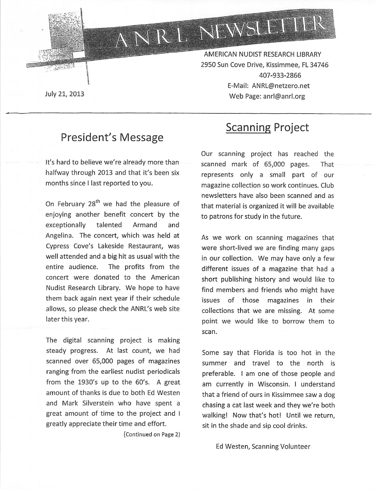

AMERICAN NUDIST RESEARCH LIBRARY 2950 Sun Cove Drive, Kissimmee, FL 34746 407-933-2866 E-Mail: ANRL@netzero.net Web Page: anrl@anrl.org

ANRL NEWSLETTER

July 21, 2013

### President's Message

It's hard to believe we're already more than halfway through 2013 and that it's been six months since I last reported to you.

On February 28<sup>th</sup> we had the pleasure of enjoying another benefit concert by the exceptionally talented Armand and Angelina. The concert, which was held at Cypress Cove's Lakeside Restaurant, was well attended and a big hit as usual with the entire audience. The profits from the concert were donated to the American Nudist Research Library. We hope to have them back again next year if their schedule allows, so please check the ANRL's web site later this year.

The digital scanning project is making steady progress. At last count, we had scanned over 65,000 pages of magazines ranging from the earliest nudist periodicals from the 1930's up to the 60's. A great amount of thanks is due to both Ed Westen and Mark Silverstein who have spent a great amount of time to the project and I greatly appreciate their time and effort.

(Continued on Page 2)

# Scanning Project

Our scanning project has reached the scanned mark of 65,000 pages. That represents only a small part of our magazine collection so work continues. Club newsletters have also been scanned and as that material is organized it will be available to patrons for study in the future.

As we work on scanning magazines that were short-lived we are finding many gaps in our collection. We may have only a few different issues of a magazine that had a short publishing history and would like to find members and friends who might have issues of those magazines in their collections that we are missing. At some point we would like to borrow them to scan.

Some say that Florida is too hot in the summer and travel to the north is preferable. I am one of those people and am currently in Wisconsin. I understand that a friend of ours in Kissimmee saw a dog chasing a cat last week and they we're both walking! Now that's hot! Until we return, sit in the shade and sip cool drinks.

Ed Westen, Scanning Volunteer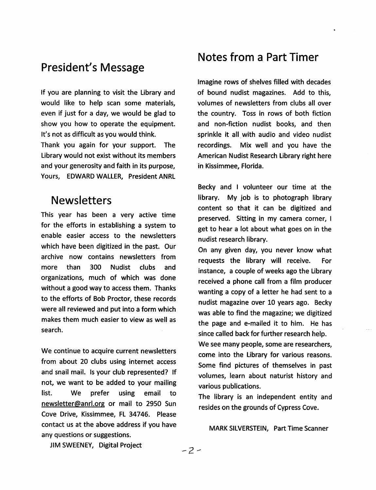### **President's Message**

If you are planning to visit the Library and would like to help scan some materials. even if just for a day, we would be glad to show you how to operate the equipment. It's not as difficult as you would think. Thank you again for your support. **The** Library would not exist without its members

and your generosity and faith in its purpose, Yours, EDWARD WALLER, President ANRL

#### **Newsletters**

This year has been a very active time for the efforts in establishing a system to enable easier access to the newsletters which have been digitized in the past. Our archive now contains newsletters from 300 more than Nudist clubs and organizations, much of which was done without a good way to access them. Thanks to the efforts of Bob Proctor, these records were all reviewed and put into a form which makes them much easier to view as well as search.

We continue to acquire current newsletters from about 20 clubs using internet access and snail mail. Is your club represented? If not, we want to be added to your mailing list. We prefer using email to newsletter@anrl.org or mail to 2950 Sun Cove Drive, Kissimmee, FL 34746. Please contact us at the above address if you have any questions or suggestions.

#### **Notes from a Part Timer**

Imagine rows of shelves filled with decades of bound nudist magazines. Add to this, volumes of newsletters from clubs all over the country. Toss in rows of both fiction and non-fiction nudist books, and then sprinkle it all with audio and video nudist recordings. Mix well and you have the American Nudist Research Library right here in Kissimmee, Florida.

Becky and I volunteer our time at the library. My job is to photograph library content so that it can be digitized and preserved. Sitting in my camera corner, I get to hear a lot about what goes on in the nudist research library.

On any given day, you never know what requests the library will receive. For instance, a couple of weeks ago the Library received a phone call from a film producer wanting a copy of a letter he had sent to a nudist magazine over 10 years ago. Becky was able to find the magazine; we digitized the page and e-mailed it to him. He has since called back for further research help.

We see many people, some are researchers, come into the Library for various reasons. Some find pictures of themselves in past volumes, learn about naturist history and various publications.

The library is an independent entity and resides on the grounds of Cypress Cove.

#### MARK SILVERSTEIN, Part Time Scanner

JIM SWEENEY, Digital Project